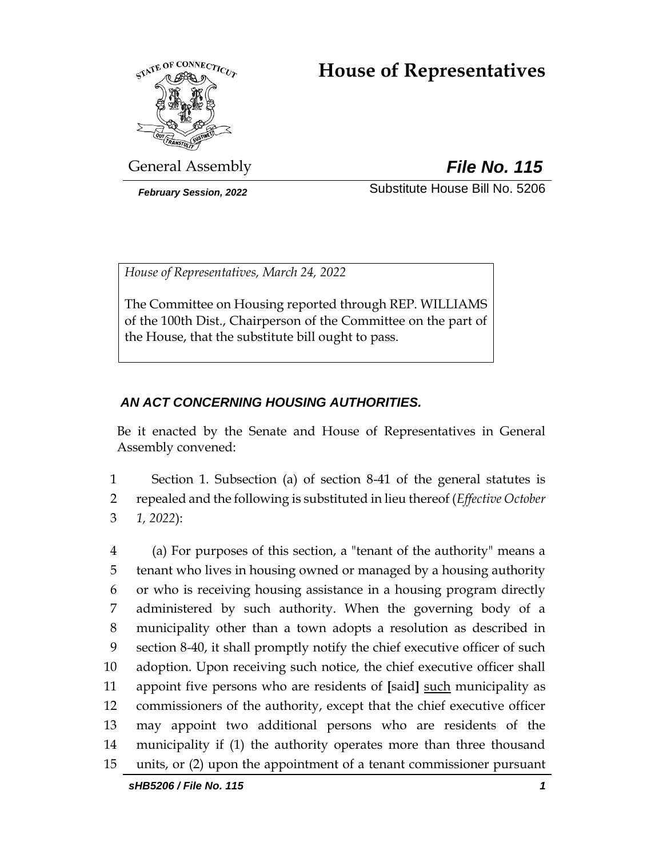# **House of Representatives**



General Assembly *File No. 115*

*February Session, 2022* Substitute House Bill No. 5206

*House of Representatives, March 24, 2022*

The Committee on Housing reported through REP. WILLIAMS of the 100th Dist., Chairperson of the Committee on the part of the House, that the substitute bill ought to pass.

# *AN ACT CONCERNING HOUSING AUTHORITIES.*

Be it enacted by the Senate and House of Representatives in General Assembly convened:

1 Section 1. Subsection (a) of section 8-41 of the general statutes is 2 repealed and the following is substituted in lieu thereof (*Effective October*  3 *1, 2022*):

 (a) For purposes of this section, a "tenant of the authority" means a tenant who lives in housing owned or managed by a housing authority or who is receiving housing assistance in a housing program directly administered by such authority. When the governing body of a municipality other than a town adopts a resolution as described in section 8-40, it shall promptly notify the chief executive officer of such adoption. Upon receiving such notice, the chief executive officer shall appoint five persons who are residents of **[**said**]** such municipality as commissioners of the authority, except that the chief executive officer may appoint two additional persons who are residents of the municipality if (1) the authority operates more than three thousand units, or (2) upon the appointment of a tenant commissioner pursuant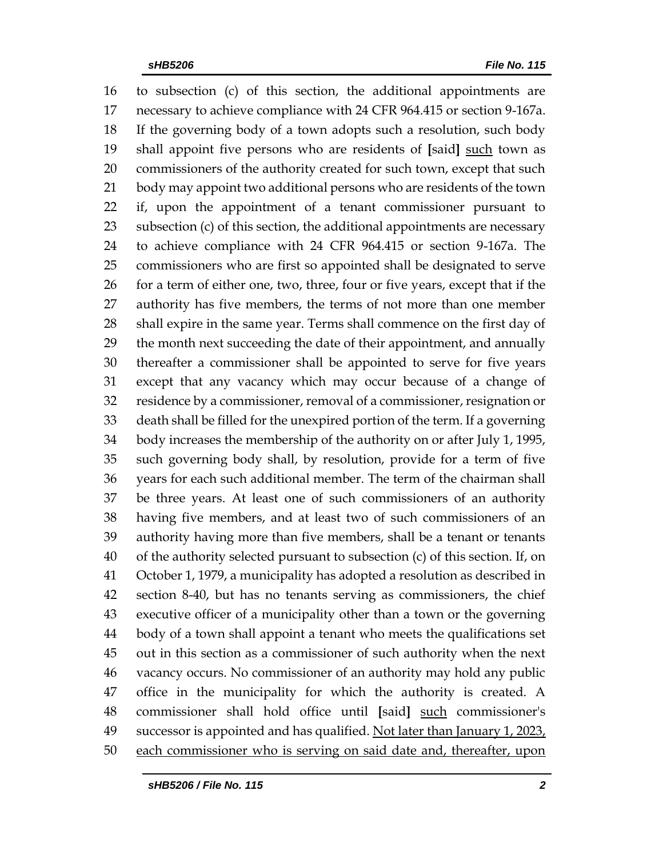to subsection (c) of this section, the additional appointments are necessary to achieve compliance with 24 CFR 964.415 or section 9-167a. If the governing body of a town adopts such a resolution, such body shall appoint five persons who are residents of **[**said**]** such town as commissioners of the authority created for such town, except that such body may appoint two additional persons who are residents of the town if, upon the appointment of a tenant commissioner pursuant to subsection (c) of this section, the additional appointments are necessary to achieve compliance with 24 CFR 964.415 or section 9-167a. The commissioners who are first so appointed shall be designated to serve 26 for a term of either one, two, three, four or five years, except that if the authority has five members, the terms of not more than one member shall expire in the same year. Terms shall commence on the first day of the month next succeeding the date of their appointment, and annually thereafter a commissioner shall be appointed to serve for five years except that any vacancy which may occur because of a change of residence by a commissioner, removal of a commissioner, resignation or death shall be filled for the unexpired portion of the term. If a governing body increases the membership of the authority on or after July 1, 1995, such governing body shall, by resolution, provide for a term of five years for each such additional member. The term of the chairman shall be three years. At least one of such commissioners of an authority having five members, and at least two of such commissioners of an authority having more than five members, shall be a tenant or tenants of the authority selected pursuant to subsection (c) of this section. If, on October 1, 1979, a municipality has adopted a resolution as described in section 8-40, but has no tenants serving as commissioners, the chief executive officer of a municipality other than a town or the governing body of a town shall appoint a tenant who meets the qualifications set out in this section as a commissioner of such authority when the next vacancy occurs. No commissioner of an authority may hold any public office in the municipality for which the authority is created. A commissioner shall hold office until **[**said**]** such commissioner's 49 successor is appointed and has qualified. Not later than January 1, 2023, each commissioner who is serving on said date and, thereafter, upon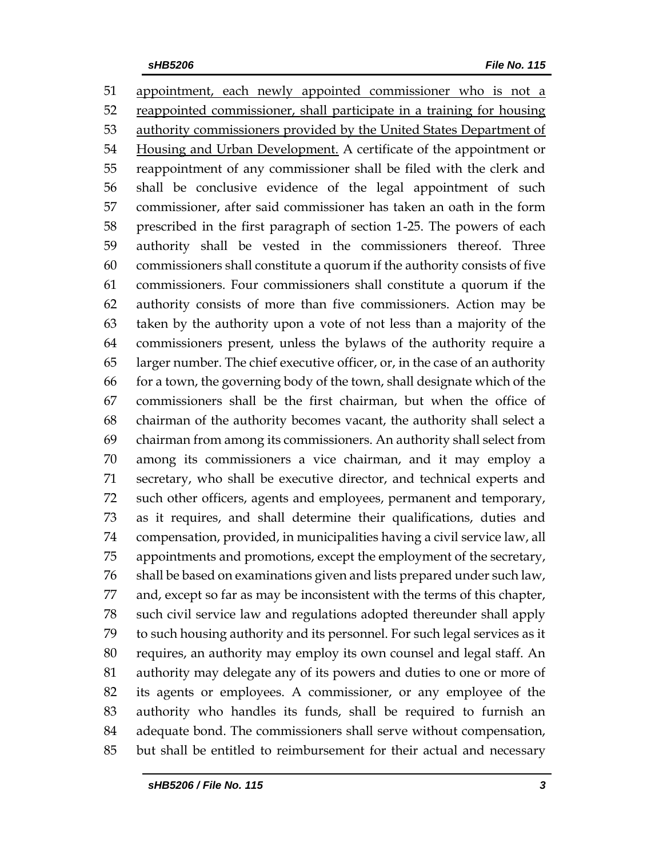appointment, each newly appointed commissioner who is not a 52 reappointed commissioner, shall participate in a training for housing 53 authority commissioners provided by the United States Department of Housing and Urban Development. A certificate of the appointment or reappointment of any commissioner shall be filed with the clerk and shall be conclusive evidence of the legal appointment of such commissioner, after said commissioner has taken an oath in the form prescribed in the first paragraph of section 1-25. The powers of each authority shall be vested in the commissioners thereof. Three commissioners shall constitute a quorum if the authority consists of five commissioners. Four commissioners shall constitute a quorum if the authority consists of more than five commissioners. Action may be taken by the authority upon a vote of not less than a majority of the commissioners present, unless the bylaws of the authority require a larger number. The chief executive officer, or, in the case of an authority for a town, the governing body of the town, shall designate which of the commissioners shall be the first chairman, but when the office of chairman of the authority becomes vacant, the authority shall select a chairman from among its commissioners. An authority shall select from among its commissioners a vice chairman, and it may employ a secretary, who shall be executive director, and technical experts and such other officers, agents and employees, permanent and temporary, as it requires, and shall determine their qualifications, duties and compensation, provided, in municipalities having a civil service law, all appointments and promotions, except the employment of the secretary, shall be based on examinations given and lists prepared under such law, and, except so far as may be inconsistent with the terms of this chapter, such civil service law and regulations adopted thereunder shall apply to such housing authority and its personnel. For such legal services as it requires, an authority may employ its own counsel and legal staff. An authority may delegate any of its powers and duties to one or more of its agents or employees. A commissioner, or any employee of the authority who handles its funds, shall be required to furnish an adequate bond. The commissioners shall serve without compensation, but shall be entitled to reimbursement for their actual and necessary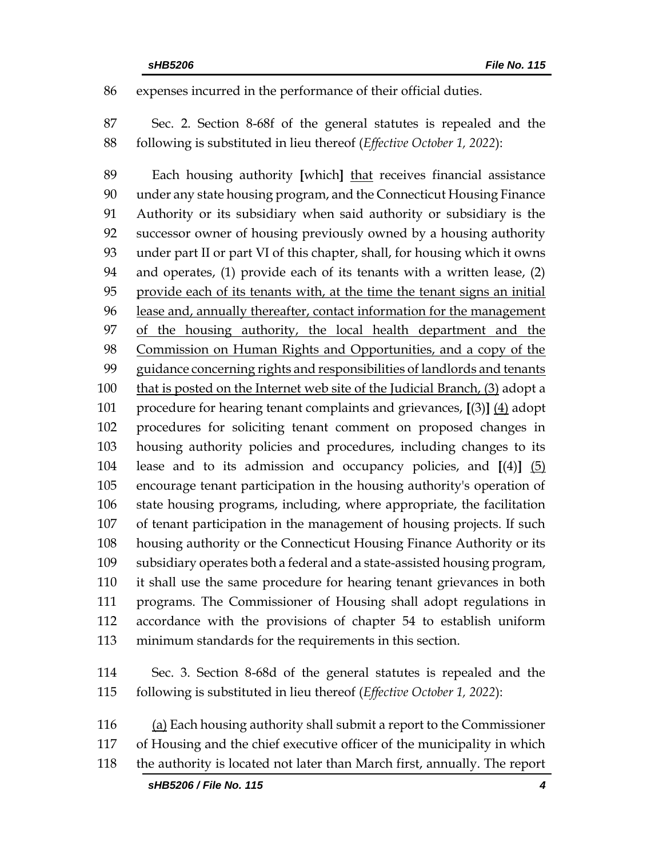expenses incurred in the performance of their official duties.

 Sec. 2. Section 8-68f of the general statutes is repealed and the following is substituted in lieu thereof (*Effective October 1, 2022*):

 Each housing authority **[**which**]** that receives financial assistance under any state housing program, and the Connecticut Housing Finance Authority or its subsidiary when said authority or subsidiary is the successor owner of housing previously owned by a housing authority under part II or part VI of this chapter, shall, for housing which it owns and operates, (1) provide each of its tenants with a written lease, (2) provide each of its tenants with, at the time the tenant signs an initial lease and, annually thereafter, contact information for the management of the housing authority, the local health department and the Commission on Human Rights and Opportunities, and a copy of the guidance concerning rights and responsibilities of landlords and tenants that is posted on the Internet web site of the Judicial Branch, (3) adopt a procedure for hearing tenant complaints and grievances, **[**(3)**]** (4) adopt procedures for soliciting tenant comment on proposed changes in housing authority policies and procedures, including changes to its lease and to its admission and occupancy policies, and **[**(4)**]** (5) encourage tenant participation in the housing authority's operation of state housing programs, including, where appropriate, the facilitation of tenant participation in the management of housing projects. If such housing authority or the Connecticut Housing Finance Authority or its subsidiary operates both a federal and a state-assisted housing program, it shall use the same procedure for hearing tenant grievances in both programs. The Commissioner of Housing shall adopt regulations in accordance with the provisions of chapter 54 to establish uniform minimum standards for the requirements in this section.

- Sec. 3. Section 8-68d of the general statutes is repealed and the following is substituted in lieu thereof (*Effective October 1, 2022*):
- (a) Each housing authority shall submit a report to the Commissioner of Housing and the chief executive officer of the municipality in which the authority is located not later than March first, annually. The report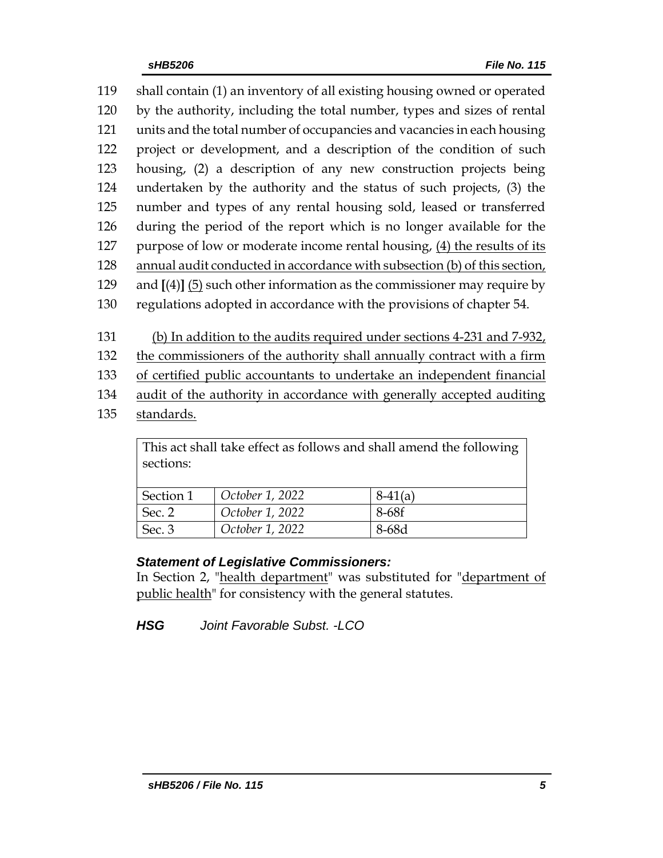shall contain (1) an inventory of all existing housing owned or operated by the authority, including the total number, types and sizes of rental units and the total number of occupancies and vacancies in each housing project or development, and a description of the condition of such housing, (2) a description of any new construction projects being undertaken by the authority and the status of such projects, (3) the number and types of any rental housing sold, leased or transferred during the period of the report which is no longer available for the purpose of low or moderate income rental housing, (4) the results of its annual audit conducted in accordance with subsection (b) of this section, and **[**(4)**]** (5) such other information as the commissioner may require by regulations adopted in accordance with the provisions of chapter 54.

(b) In addition to the audits required under sections 4-231 and 7-932,

the commissioners of the authority shall annually contract with a firm

of certified public accountants to undertake an independent financial

audit of the authority in accordance with generally accepted auditing

standards.

| This act shall take effect as follows and shall amend the following<br>sections: |                 |           |  |
|----------------------------------------------------------------------------------|-----------------|-----------|--|
| Section 1                                                                        | October 1, 2022 | $8-41(a)$ |  |
| Sec. 2                                                                           | October 1, 2022 | 8-68f     |  |
| Sec. 3                                                                           | October 1, 2022 | 8-68d     |  |

This act shall take effect as follows and shall amend the following

# *Statement of Legislative Commissioners:*

In Section 2, "health department" was substituted for "department of public health" for consistency with the general statutes.

*HSG Joint Favorable Subst. -LCO*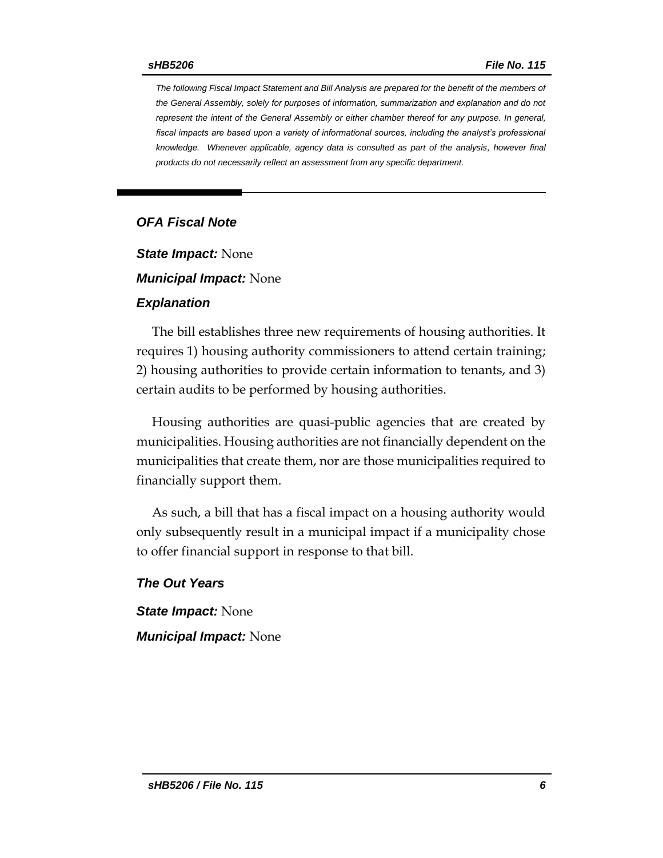*The following Fiscal Impact Statement and Bill Analysis are prepared for the benefit of the members of the General Assembly, solely for purposes of information, summarization and explanation and do not represent the intent of the General Assembly or either chamber thereof for any purpose. In general,*  fiscal impacts are based upon a variety of informational sources, including the analyst's professional *knowledge. Whenever applicable, agency data is consulted as part of the analysis, however final products do not necessarily reflect an assessment from any specific department.*

#### *OFA Fiscal Note*

*State Impact:* None

*Municipal Impact:* None

#### *Explanation*

The bill establishes three new requirements of housing authorities. It requires 1) housing authority commissioners to attend certain training; 2) housing authorities to provide certain information to tenants, and 3) certain audits to be performed by housing authorities.

Housing authorities are quasi-public agencies that are created by municipalities. Housing authorities are not financially dependent on the municipalities that create them, nor are those municipalities required to financially support them.

As such, a bill that has a fiscal impact on a housing authority would only subsequently result in a municipal impact if a municipality chose to offer financial support in response to that bill.

*The Out Years*

*State Impact:* None *Municipal Impact:* None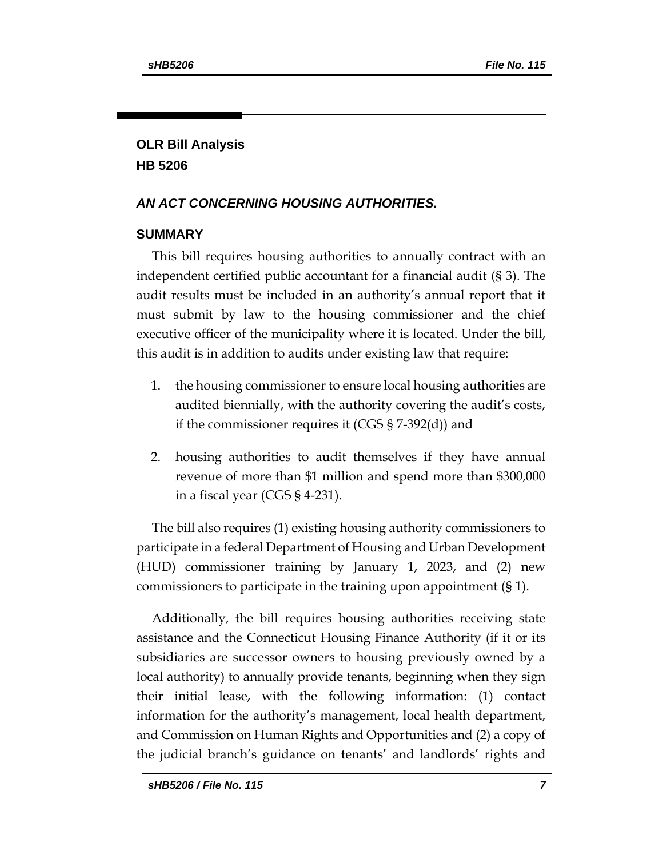# **OLR Bill Analysis HB 5206**

# *AN ACT CONCERNING HOUSING AUTHORITIES.*

## **SUMMARY**

This bill requires housing authorities to annually contract with an independent certified public accountant for a financial audit (§ 3). The audit results must be included in an authority's annual report that it must submit by law to the housing commissioner and the chief executive officer of the municipality where it is located. Under the bill, this audit is in addition to audits under existing law that require:

- 1. the housing commissioner to ensure local housing authorities are audited biennially, with the authority covering the audit's costs, if the commissioner requires it (CGS § 7-392(d)) and
- 2. housing authorities to audit themselves if they have annual revenue of more than \$1 million and spend more than \$300,000 in a fiscal year (CGS § 4-231).

The bill also requires (1) existing housing authority commissioners to participate in a federal Department of Housing and Urban Development (HUD) commissioner training by January 1, 2023, and (2) new commissioners to participate in the training upon appointment (§ 1).

Additionally, the bill requires housing authorities receiving state assistance and the Connecticut Housing Finance Authority (if it or its subsidiaries are successor owners to housing previously owned by a local authority) to annually provide tenants, beginning when they sign their initial lease, with the following information: (1) contact information for the authority's management, local health department, and Commission on Human Rights and Opportunities and (2) a copy of the judicial branch's guidance on tenants' and landlords' rights and